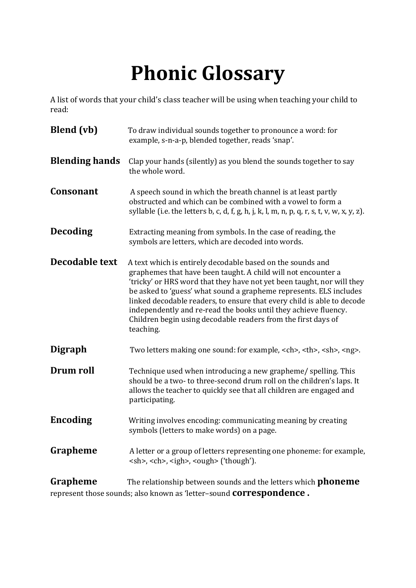## **Phonic Glossary**

A list of words that your child's class teacher will be using when teaching your child to read:

| <b>Blend</b> (vb)     | To draw individual sounds together to pronounce a word: for<br>example, s-n-a-p, blended together, reads 'snap'.                                                                                                                                                                                                                                                                                                                                                                                       |                         |
|-----------------------|--------------------------------------------------------------------------------------------------------------------------------------------------------------------------------------------------------------------------------------------------------------------------------------------------------------------------------------------------------------------------------------------------------------------------------------------------------------------------------------------------------|-------------------------|
| <b>Blending hands</b> | Clap your hands (silently) as you blend the sounds together to say<br>the whole word.                                                                                                                                                                                                                                                                                                                                                                                                                  |                         |
| <b>Consonant</b>      | A speech sound in which the breath channel is at least partly<br>obstructed and which can be combined with a vowel to form a<br>syllable (i.e. the letters b, c, d, f, g, h, j, k, l, m, n, p, q, r, s, t, v, w, x, y, z).                                                                                                                                                                                                                                                                             |                         |
| <b>Decoding</b>       | Extracting meaning from symbols. In the case of reading, the<br>symbols are letters, which are decoded into words.                                                                                                                                                                                                                                                                                                                                                                                     |                         |
| Decodable text        | A text which is entirely decodable based on the sounds and<br>graphemes that have been taught. A child will not encounter a<br>'tricky' or HRS word that they have not yet been taught, nor will they<br>be asked to 'guess' what sound a grapheme represents. ELS includes<br>linked decodable readers, to ensure that every child is able to decode<br>independently and re-read the books until they achieve fluency.<br>Children begin using decodable readers from the first days of<br>teaching. |                         |
| <b>Digraph</b>        | Two letters making one sound: for example, <ch>, <th>, <sh>, <ng>.</ng></sh></th></ch>                                                                                                                                                                                                                                                                                                                                                                                                                 | , <sh>, <ng>.</ng></sh> |
| Drum roll             | Technique used when introducing a new grapheme/ spelling. This<br>should be a two- to three-second drum roll on the children's laps. It<br>allows the teacher to quickly see that all children are engaged and<br>participating.                                                                                                                                                                                                                                                                       |                         |
| <b>Encoding</b>       | Writing involves encoding: communicating meaning by creating<br>symbols (letters to make words) on a page.                                                                                                                                                                                                                                                                                                                                                                                             |                         |
| Grapheme              | A letter or a group of letters representing one phoneme: for example,<br><sh>, <ch>, <igh>, <ough> ('though').</ough></igh></ch></sh>                                                                                                                                                                                                                                                                                                                                                                  |                         |
| Grapheme              | The relationship between sounds and the letters which <b>phoneme</b>                                                                                                                                                                                                                                                                                                                                                                                                                                   |                         |

represent those sounds; also known as 'letter–sound **correspondence .**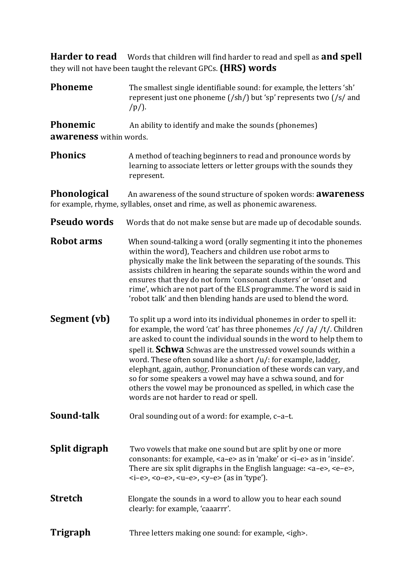**Harder to read** Words that children will find harder to read and spell as **and spell**  they will not have been taught the relevant GPCs. **(HRS) words** 

**Phoneme** The smallest single identifiable sound: for example, the letters 'sh' represent just one phoneme (/sh/) but 'sp' represents two (/s/ and  $/p/$ ).

**Phonemic** An ability to identify and make the sounds (phonemes) **awareness** within words.

**Phonics** A method of teaching beginners to read and pronounce words by learning to associate letters or letter groups with the sounds they represent.

**Phonological** An awareness of the sound structure of spoken words: **awareness**  for example, rhyme, syllables, onset and rime, as well as phonemic awareness.

- **Pseudo words** Words that do not make sense but are made up of decodable sounds.
- **Robot arms** When sound-talking a word (orally segmenting it into the phonemes within the word), Teachers and children use robot arms to physically make the link between the separating of the sounds. This assists children in hearing the separate sounds within the word and ensures that they do not form 'consonant clusters' or 'onset and rime', which are not part of the ELS programme. The word is said in 'robot talk' and then blending hands are used to blend the word.
- **Segment (vb)** To split up a word into its individual phonemes in order to spell it: for example, the word 'cat' has three phonemes /c/ /a/ /t/. Children are asked to count the individual sounds in the word to help them to spell it. **Schwa** Schwas are the unstressed vowel sounds within a word. These often sound like a short /u/: for example, ladder, elephant, again, author. Pronunciation of these words can vary, and so for some speakers a vowel may have a schwa sound, and for others the vowel may be pronounced as spelled, in which case the words are not harder to read or spell.
- **Sound-talk** Oral sounding out of a word: for example, c-a-t.
- **Split digraph** Two vowels that make one sound but are split by one or more consonants: for example, <a–e> as in 'make' or <i–e> as in 'inside'. There are six split digraphs in the English language: <a–e>, <e–e>, <i–e>, <o–e>, <u–e>, <y–e> (as in 'type').
- **Stretch** Elongate the sounds in a word to allow you to hear each sound clearly: for example, 'caaarrr'.
- **Trigraph** Three letters making one sound: for example, <igh>.